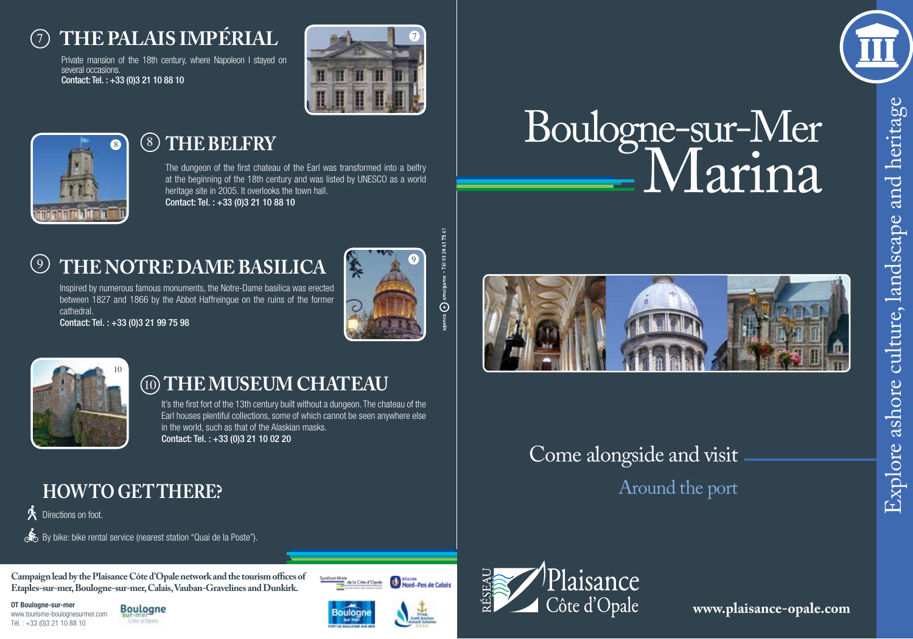## 7 **The Palais Impérial**

Private mansion of the 18th century, where Napoleon I stayed on several occasions. Contact: Tel. : +33 (0)3 21 10 88 10





# and heritage Explore ashore culture, landscape and heritageashore culture, landscape Explore:

## 8

#### $(8)$ **The Belfry**

The dungeon of the first chateau of the Earl was transformed into a belfry at the beginning of the 18th century and was listed by UNESCO as a world heritage site in 2005. It overlooks the town hall. Contact: Tel. : +33 (0)3 21 10 88 10

## $(9)$ **The Notre Dame Basilica**

Inspired by numerous famous monuments, the Notre-Dame basilica was erected between 1827 and 1866 by the Abbot Haffreingue on the ruins of the former cathedral.

Contact: Tel. : +33 (0)3 21 99 75 98



 $\odot$ 



## 10 **The museum chateau**

It's the first fort of the 13th century built without a dungeon. The chateau of the Earl houses plentiful collections, some of which cannot be seen anywhere else in the world, such as that of the Alaskian masks. Contact: Tel. : +33 (0)3 21 10 02 20

## **HOW TO GET THERE?**

**人** Directions on foot.

By bike: bike rental service (nearest station "Quai de la Poste").

**Campaign lead by the Plaisance Côte d'Opale network and the tourism offices of Etaples-sur-mer, Boulogne-sur-mer, Calais, Vauban-Gravelines and Dunkirk.**

**OT Boulogne-sur-mer** www.tourisme-boulognesurmer.com Tél. : +33 (0)3 21 10 88 10







Syndical Mian





**www.plaisance-opale.com**



Boulogne-sur-Mer

Marina



Around the port